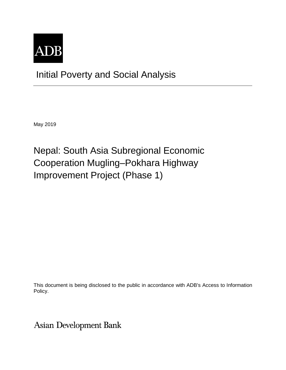

Initial Poverty and Social Analysis

May 2019

Nepal: South Asia Subregional Economic Cooperation Mugling–Pokhara Highway Improvement Project (Phase 1)

This document is being disclosed to the public in accordance with ADB's Access to Information Policy.

**Asian Development Bank**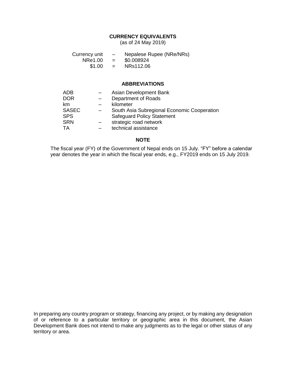### **CURRENCY EQUIVALENTS**

(as of 24 May 2019)

| Currency unit | $\overline{\phantom{0}}$ | Nepalese Rupee (NRe/NRs) |
|---------------|--------------------------|--------------------------|
| NRe1.00       | $=$                      | \$0.008924               |
| \$1.00        | $=$                      | NRs112.06                |

#### **ABBREVIATIONS**

| <b>ADB</b>   | Asian Development Bank                      |
|--------------|---------------------------------------------|
| <b>DOR</b>   | Department of Roads                         |
| km           | kilometer                                   |
| <b>SASEC</b> | South Asia Subregional Economic Cooperation |
| <b>SPS</b>   | <b>Safeguard Policy Statement</b>           |
| <b>SRN</b>   | strategic road network                      |
| TA           | technical assistance                        |

### **NOTE**

The fiscal year (FY) of the Government of Nepal ends on 15 July. "FY" before a calendar year denotes the year in which the fiscal year ends, e.g., FY2019 ends on 15 July 2019.

In preparing any country program or strategy, financing any project, or by making any designation of or reference to a particular territory or geographic area in this document, the Asian Development Bank does not intend to make any judgments as to the legal or other status of any territory or area.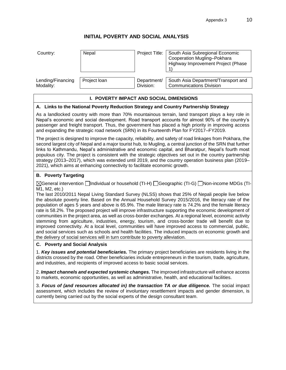## **INITIAL POVERTY AND SOCIAL ANALYSIS**

| Country:          | Nepal        |             | Project Title:   South Asia Subregional Economic<br>Cooperation Mugling-Pokhara<br>Highway Improvement Project (Phase |
|-------------------|--------------|-------------|-----------------------------------------------------------------------------------------------------------------------|
| Lending/Financing | Project loan | Department/ | South Asia Department/Transport and                                                                                   |
| Modality:         |              | Division:   | <b>Communications Division</b>                                                                                        |

#### **I. POVERTY IMPACT AND SOCIAL DIMENSIONS**

#### **A. Links to the National Poverty Reduction Strategy and Country Partnership Strategy**

As a landlocked country with more than 70% mountainous terrain, land transport plays a key role in Nepal's economic and social development. Road transport accounts for almost 90% of the country's passenger and freight transport. Thus, the government has placed a high priority in improving access and expanding the strategic road network (SRN) in its Fourteenth Plan for FY2017–FY2019.

The project is designed to improve the capacity, reliability, and safety of road linkages from Pokhara, the second largest city of Nepal and a major tourist hub, to Mugling, a central junction of the SRN that further links to Kathmandu, Nepal's administrative and economic capital, and Bharatpur, Nepal's fourth most populous city. The project is consistent with the strategic objectives set out in the country partnership strategy (2013–2017), which was extended until 2019, and the country operation business plan (2019– 2021), which aims at enhancing connectivity to facilitate economic growth.

#### **B. Poverty Targeting**

 $\boxtimes$ General intervention  $\Box$ Individual or household (TI-H)  $\Box$ Geographic (TI-G)  $\Box$ Non-income MDGs (TI-M1, M2, etc.)

The last 2010/2011 Nepal Living Standard Survey (NLSS) shows that 25% of Nepali people live below the absolute poverty line. Based on the Annual Household Survey 2015/2016, the literacy rate of the population of ages 5 years and above is 65.9%. The male literacy rate is 74.2% and the female literacy rate is 58.2%. The proposed project will improve infrastructure supporting the economic development of communities in the project area, as well as cross-border exchanges. At a regional level, economic activity stemming from agriculture, industries, energy, tourism, and cross-border trade will benefit due to improved connectivity. At a local level, communities will have improved access to commercial, public, and social services such as schools and health facilities. The induced impacts on economic growth and the delivery of social services will in turn contribute to poverty alleviation.

#### **C. Poverty and Social Analysis**

1. *Key issues and potential beneficiaries.* The primary project beneficiaries are residents living in the districts crossed by the road. Other beneficiaries include entrepreneurs in the tourism, trade, agriculture, and industries, and recipients of improved access to basic social services.

2. *Impact channels and expected systemic changes.* The improved infrastructure will enhance access to markets, economic opportunities, as well as administrative, health, and educational facilities.

3. *Focus of (and resources allocated in) the transaction TA or due diligence.* The social impact assessment, which includes the review of involuntary resettlement impacts and gender dimension, is currently being carried out by the social experts of the design consultant team.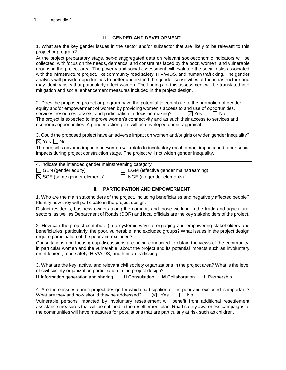# **II. GENDER AND DEVELOPMENT**

| 1. What are the key gender issues in the sector and/or subsector that are likely to be relevant to this                                                                                                                                                                                                                                                                                                                                                                                                                                                                                                                                                                                                                                          |
|--------------------------------------------------------------------------------------------------------------------------------------------------------------------------------------------------------------------------------------------------------------------------------------------------------------------------------------------------------------------------------------------------------------------------------------------------------------------------------------------------------------------------------------------------------------------------------------------------------------------------------------------------------------------------------------------------------------------------------------------------|
| project or program?                                                                                                                                                                                                                                                                                                                                                                                                                                                                                                                                                                                                                                                                                                                              |
| At the project preparatory stage, sex-disaggregated data on relevant socioeconomic indicators will be<br>collected, with focus on the needs, demands, and constraints faced by the poor, women, and vulnerable<br>groups in the project area. The poverty and social assessment will evaluate the social risks associated<br>with the infrastructure project, like community road safety, HIV/AIDS, and human trafficking. The gender<br>analysis will provide opportunities to better understand the gender sensitivities of the infrastructure and<br>may identify risks that particularly affect women. The findings of this assessment will be translated into<br>mitigation and social enhancement measures included in the project design. |
| 2. Does the proposed project or program have the potential to contribute to the promotion of gender<br>equity and/or empowerment of women by providing women's access to and use of opportunities,<br>services, resources, assets, and participation in decision making?<br>$\boxtimes$ Yes<br>l No<br>The project is expected to improve women's connectivity and as such their access to services and<br>economic opportunities. A gender action plan will be developed during appraisal.                                                                                                                                                                                                                                                      |
| 3. Could the proposed project have an adverse impact on women and/or girls or widen gender inequality?                                                                                                                                                                                                                                                                                                                                                                                                                                                                                                                                                                                                                                           |
| $\boxtimes$ Yes $\Box$ No<br>The project's adverse impacts on women will relate to involuntary resettlement impacts and other social<br>impacts during project construction stage. The project will not widen gender inequality.                                                                                                                                                                                                                                                                                                                                                                                                                                                                                                                 |
| 4. Indicate the intended gender mainstreaming category:                                                                                                                                                                                                                                                                                                                                                                                                                                                                                                                                                                                                                                                                                          |
| $\Box$ GEN (gender equity)<br>EGM (effective gender mainstreaming)<br>$\mathsf{L}$                                                                                                                                                                                                                                                                                                                                                                                                                                                                                                                                                                                                                                                               |
| $\boxtimes$ SGE (some gender elements)<br>NGE (no gender elements)<br>$\perp$                                                                                                                                                                                                                                                                                                                                                                                                                                                                                                                                                                                                                                                                    |
|                                                                                                                                                                                                                                                                                                                                                                                                                                                                                                                                                                                                                                                                                                                                                  |
| <b>PARTICIPATION AND EMPOWERMENT</b><br>Ш.                                                                                                                                                                                                                                                                                                                                                                                                                                                                                                                                                                                                                                                                                                       |
| 1. Who are the main stakeholders of the project, including beneficiaries and negatively affected people?<br>Identify how they will participate in the project design.                                                                                                                                                                                                                                                                                                                                                                                                                                                                                                                                                                            |
| District residents, business owners along the corridor, and those working in the trade and agricultural<br>sectors, as well as Department of Roads (DOR) and local officials are the key stakeholders of the project.                                                                                                                                                                                                                                                                                                                                                                                                                                                                                                                            |
| 2. How can the project contribute (in a systemic way) to engaging and empowering stakeholders and<br>beneficiaries, particularly, the poor, vulnerable, and excluded groups? What issues in the project design<br>require participation of the poor and excluded?                                                                                                                                                                                                                                                                                                                                                                                                                                                                                |
| Consultations and focus group discussions are being conducted to obtain the views of the community,<br>in particular women and the vulnerable, about the project and its potential impacts such as involuntary<br>resettlement, road safety, HIV/AIDS, and human trafficking.                                                                                                                                                                                                                                                                                                                                                                                                                                                                    |
| 3. What are the key, active, and relevant civil society organizations in the project area? What is the level<br>of civil society organization participation in the project design?                                                                                                                                                                                                                                                                                                                                                                                                                                                                                                                                                               |
| H Information generation and sharing<br><b>H</b> Consultation<br><b>M</b> Collaboration<br>L Partnership                                                                                                                                                                                                                                                                                                                                                                                                                                                                                                                                                                                                                                         |
| 4. Are there issues during project design for which participation of the poor and excluded is important?<br>What are they and how should they be addressed?<br>$\boxtimes$ Yes<br>    No<br>Vulnerable persons impacted by involuntary resettlement will benefit from additional resettlement<br>assistance measures that will be outlined in the resettlement plan. Road safety awareness campaigns to<br>the communities will have measures for populations that are particularly at risk such as children.                                                                                                                                                                                                                                    |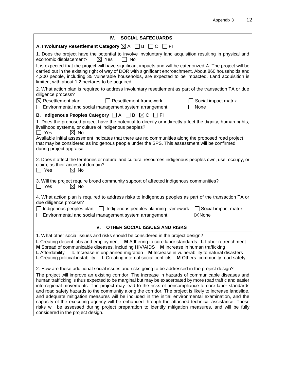| IV.<br><b>SOCIAL SAFEGUARDS</b>                                                                                                                                                                                                                                                                                                                                                                                                                                                                                                                                                                                                                                                                                                                                                                                                                                                                   |  |  |  |  |  |
|---------------------------------------------------------------------------------------------------------------------------------------------------------------------------------------------------------------------------------------------------------------------------------------------------------------------------------------------------------------------------------------------------------------------------------------------------------------------------------------------------------------------------------------------------------------------------------------------------------------------------------------------------------------------------------------------------------------------------------------------------------------------------------------------------------------------------------------------------------------------------------------------------|--|--|--|--|--|
| A. Involuntary Resettlement Category $\boxtimes$ A $\Box$ B<br>□ C<br>_l FI                                                                                                                                                                                                                                                                                                                                                                                                                                                                                                                                                                                                                                                                                                                                                                                                                       |  |  |  |  |  |
| 1. Does the project have the potential to involve involuntary land acquisition resulting in physical and<br>$\boxtimes$ Yes<br>$\Box$ No<br>economic displacement?<br>It is expected that the project will have significant impacts and will be categorized A. The project will be<br>carried out in the existing right of way of DOR with significant encroachment. About 860 households and<br>4,200 people, including 35 vulnerable households, are expected to be impacted. Land acquisition is<br>limited, with about 1.2 hectares to be acquired.                                                                                                                                                                                                                                                                                                                                           |  |  |  |  |  |
| 2. What action plan is required to address involuntary resettlement as part of the transaction TA or due<br>diligence process?                                                                                                                                                                                                                                                                                                                                                                                                                                                                                                                                                                                                                                                                                                                                                                    |  |  |  |  |  |
| $\boxtimes$ Resettlement plan<br><b>Resettlement framework</b><br>Social impact matrix<br>Environmental and social management system arrangement<br>None                                                                                                                                                                                                                                                                                                                                                                                                                                                                                                                                                                                                                                                                                                                                          |  |  |  |  |  |
| <b>B. Indigenous Peoples Category</b> $\Box$ A $\Box$ B $\boxtimes$ C  <br>_l FI                                                                                                                                                                                                                                                                                                                                                                                                                                                                                                                                                                                                                                                                                                                                                                                                                  |  |  |  |  |  |
| 1. Does the proposed project have the potential to directly or indirectly affect the dignity, human rights,<br>livelihood systems, or culture of indigenous peoples?<br>Π Yes<br>$\boxtimes$ No<br>Available initial assessment indicates that there are no communities along the proposed road project<br>that may be considered as indigenous people under the SPS. This assessment will be confirmed<br>during project appraisal.                                                                                                                                                                                                                                                                                                                                                                                                                                                              |  |  |  |  |  |
| 2. Does it affect the territories or natural and cultural resources indigenous peoples own, use, occupy, or<br>claim, as their ancestral domain?<br>$\Box$ Yes<br>$\boxtimes$ No                                                                                                                                                                                                                                                                                                                                                                                                                                                                                                                                                                                                                                                                                                                  |  |  |  |  |  |
| 3. Will the project require broad community support of affected indigenous communities?<br>$\Box$ Yes<br>$\boxtimes$ No                                                                                                                                                                                                                                                                                                                                                                                                                                                                                                                                                                                                                                                                                                                                                                           |  |  |  |  |  |
| 4. What action plan is required to address risks to indigenous peoples as part of the transaction TA or<br>due diligence process?                                                                                                                                                                                                                                                                                                                                                                                                                                                                                                                                                                                                                                                                                                                                                                 |  |  |  |  |  |
| Indigenous peoples plan<br>Indigenous peoples planning framework<br>Social impact matrix<br>$\perp$<br>$\boxtimes$ None<br>Environmental and social management system arrangement                                                                                                                                                                                                                                                                                                                                                                                                                                                                                                                                                                                                                                                                                                                 |  |  |  |  |  |
| V.<br>OTHER SOCIAL ISSUES AND RISKS                                                                                                                                                                                                                                                                                                                                                                                                                                                                                                                                                                                                                                                                                                                                                                                                                                                               |  |  |  |  |  |
| 1. What other social issues and risks should be considered in the project design?<br>L Creating decent jobs and employment<br>M Adhering to core labor standards L Labor retrenchment<br>M Spread of communicable diseases, including HIV/AIDS M Increase in human trafficking<br>L Increase in unplanned migration M Increase in vulnerability to natural disasters<br><b>L</b> Affordability<br>L Creating political instability L Creating internal social conflicts M Others: community road safety                                                                                                                                                                                                                                                                                                                                                                                           |  |  |  |  |  |
| 2. How are these additional social issues and risks going to be addressed in the project design?<br>The project will improve an existing corridor. The increase in hazards of communicable diseases and<br>human trafficking is thus expected to be marginal but may be exacerbated by more road traffic and easier<br>interregional movements. The project may lead to the risks of noncompliance to core labor standards<br>and road safety hazards to the community along the corridor. The project is likely to increase landslide,<br>and adequate mitigation measures will be included in the initial environmental examination, and the<br>capacity of the executing agency will be enhanced through the attached technical assistance. These<br>risks will be assessed during project preparation to identify mitigation measures, and will be fully<br>considered in the project design. |  |  |  |  |  |